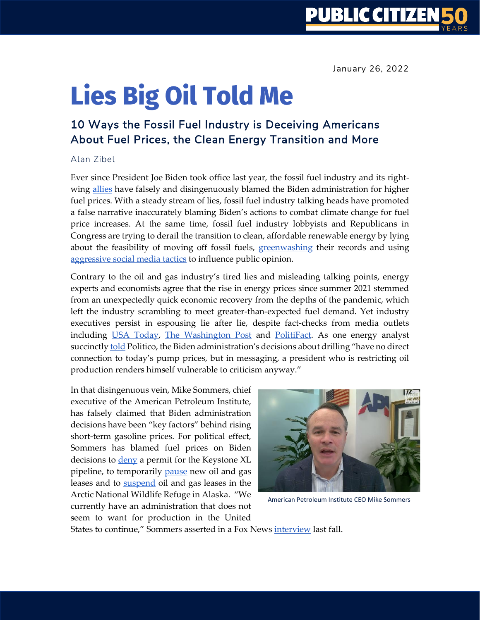# **Lies Big Oil Told Me**

## 10 Ways the Fossil Fuel Industry is Deceiving Americans About Fuel Prices, the Clean Energy Transition and More

#### Alan Zibel

Ever since President Joe Biden took office last year, the fossil fuel industry and its rightwing [allies](https://www.citizen.org/article/big-oils-capitol-hill-allies/) have falsely and disingenuously blamed the Biden administration for higher fuel prices. With a steady stream of lies, fossil fuel industry talking heads have promoted a false narrative inaccurately blaming Biden's actions to combat climate change for fuel price increases. At the same time, fossil fuel industry lobbyists and Republicans in Congress are trying to derail the transition to clean, affordable renewable energy by lying about the feasibility of moving off fossil fuels, [greenwashing](https://law2.wlu.edu/deptimages/journal%20of%20energy,%20climate,%20and%20the%20environment/7%20-%20Cherry%20Sneirson%20Article.pdf) their records and using [aggressive social media tactics](https://influencemap.org/EN/report/Climate-Change-and-Digital-Advertising-a40c8116160668aa2d865da2f5abe91b#1) to influence public opinion.

Contrary to the oil and gas industry's tired lies and misleading talking points, energy experts and economists agree that the rise in energy prices since summer 2021 stemmed from an unexpectedly quick economic recovery from the depths of the pandemic, which left the industry scrambling to meet greater-than-expected fuel demand. Yet industry executives persist in espousing lie after lie, despite fact-checks from media outlets including [USA Today,](https://www.usatoday.com/story/news/factcheck/2021/02/18/fact-check-oil-prices-havent-doubled-during-biden-presidency/6798510002/) [The Washington Post](https://www.washingtonpost.com/politics/2021/07/13/bogus-gop-claim-that-biden-is-responsible-higher-gasoline-prices/) and [PolitiFact.](https://www.politifact.com/factchecks/2021/dec/01/facebook-posts/no-evidence-biden-canceling-oil-pipeline-caused-hi/) As one energy analyst succinctly [told](https://www.politico.com/news/2021/07/04/gasoline-prices-gop-biden-497947) Politico, the Biden administration's decisions about drilling "have no direct connection to today's pump prices, but in messaging, a president who is restricting oil production renders himself vulnerable to criticism anyway."

In that disingenuous vein, Mike Sommers, chief executive of the American Petroleum Institute, has falsely claimed that Biden administration decisions have been "key factors" behind rising short-term gasoline prices. For political effect, Sommers has blamed fuel prices on Biden decisions to **deny** a permit for the Keystone XL pipeline, to temporarily [pause](https://www.npr.org/sections/president-biden-takes-office/2021/01/27/960941799/biden-to-pause-oil-and-gas-leasing-on-public-lands-and-waters) new oil and gas leases and to [suspend](https://www.washingtonpost.com/climate-environment/2021/06/01/arctic-national-wildlife-refuge/) oil and gas leases in the Arctic National Wildlife Refuge in Alaska. "We currently have an administration that does not seem to want for production in the United



American Petroleum Institute CEO Mike Sommers

States to continue," Sommers asserted in a Fox News [interview](https://www.foxnews.com/us/biden-policies-key-factor-surging-energy-american-petroleum-institute-president) last fall.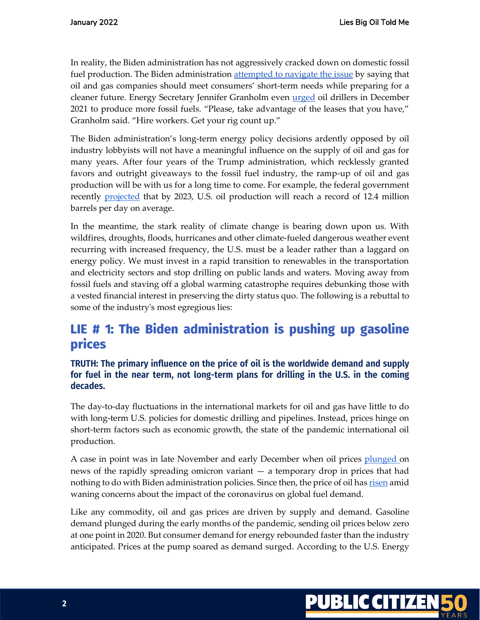In reality, the Biden administration has not aggressively cracked down on domestic fossil fuel production. The Biden administration [attempted to navigate the issue](https://www.wsj.com/articles/confronting-inflation-biden-administration-turns-to-oil-industry-it-once-shunned-11640178001) by saying that oil and gas companies should meet consumers' short-term needs while preparing for a cleaner future. Energy Secretary Jennifer Granholm even [urged](https://www.energyintel.com/0000017d-ba76-db91-a5fd-ff7ff0ce0001) oil drillers in December 2021 to produce more fossil fuels. "Please, take advantage of the leases that you have," Granholm said. "Hire workers. Get your rig count up."

The Biden administration's long-term energy policy decisions ardently opposed by oil industry lobbyists will not have a meaningful influence on the supply of oil and gas for many years. After four years of the Trump administration, which recklessly granted favors and outright giveaways to the fossil fuel industry, the ramp-up of oil and gas production will be with us for a long time to come. For example, the federal government recently [projected](https://www.marketwatch.com/story/eia-expects-us-oil-production-to-reach-a-record-in-2023-2022-01-11) that by 2023, U.S. oil production will reach a record of 12.4 million barrels per day on average.

In the meantime, the stark reality of climate change is bearing down upon us. With wildfires, droughts, floods, hurricanes and other climate-fueled dangerous weather event recurring with increased frequency, the U.S. must be a leader rather than a laggard on energy policy. We must invest in a rapid transition to renewables in the transportation and electricity sectors and stop drilling on public lands and waters. Moving away from fossil fuels and staving off a global warming catastrophe requires debunking those with a vested financial interest in preserving the dirty status quo. The following is a rebuttal to some of the industry's most egregious lies:

# LIE # 1: The Biden administration is pushing up gasoline prices

## **TRUTH: The primary influence on the price of oil is the worldwide demand and supply for fuel in the near term, not long-term plans for drilling in the U.S. in the coming decades.**

The day-to-day fluctuations in the international markets for oil and gas have little to do with long-term U.S. policies for domestic drilling and pipelines. Instead, prices hinge on short-term factors such as economic growth, the state of the pandemic international oil production.

A case in point was in late November and early December when oil prices [plunged](https://www.theguardian.com/business/2021/nov/26/oil-prices-plunge-as-new-covid-variant-spooks-markets) on news of the rapidly spreading omicron variant — a temporary drop in prices that had nothing to do with Biden administration policies. Since then, the price of oil has [risen](https://www.reuters.com/markets/commodities/oil-resumes-climb-renewed-risk-appetite-tight-opec-supply-2022-01-11/) amid waning concerns about the impact of the coronavirus on global fuel demand.

Like any commodity, oil and gas prices are driven by supply and demand. Gasoline demand plunged during the early months of the pandemic, sending oil prices below zero at one point in 2020. But consumer demand for energy rebounded faster than the industry anticipated. Prices at the pump soared as demand surged. According to the U.S. Energy

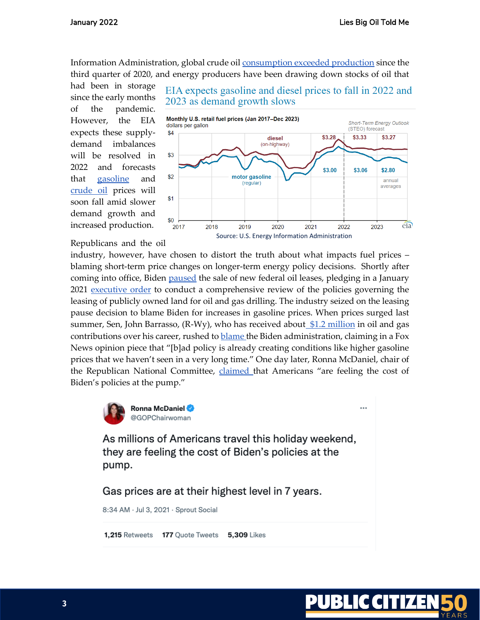Information Administration, global crude oil [consumption exceeded production](https://www.eia.gov/outlooks/steo/archives/dec21.pdf) since the third quarter of 2020, and energy producers have been drawing down stocks of oil that

had been in storage since the early months of the pandemic. However, the EIA expects these supplydemand imbalances will be resolved in 2022 and forecasts that [gasoline](https://www.eia.gov/todayinenergy/detail.php?id=50878) and [crude oil](https://www.eia.gov/todayinenergy/detail.php?id=50858) prices will soon fall amid slower demand growth and increased production.

Republicans and the oil

EIA expects gasoline and diesel prices to fall in 2022 and 2023 as demand growth slows



industry, however, have chosen to distort the truth about what impacts fuel prices – blaming short-term price changes on longer-term energy policy decisions. Shortly after coming into office, Biden [paused](https://www.npr.org/sections/president-biden-takes-office/2021/01/27/960941799/biden-to-pause-oil-and-gas-leasing-on-public-lands-and-waters) the sale of new federal oil leases, pledging in a January 2021 [executive order](https://www.federalregister.gov/documents/2021/02/01/2021-02177/tackling-the-climate-crisis-at-home-and-abroad) to conduct a comprehensive review of the policies governing the leasing of publicly owned land for oil and gas drilling. The industry seized on the leasing pause decision to blame Biden for increases in gasoline prices. When prices surged last summer, Sen, John Barrasso,  $(R-Wy)$ , who has received about  $\frac{12 \text{ million}}{12 \text{ million}}$  in oil and gas contributions over his career, rushed t[o blame](https://www.foxnews.com/opinion/us-energy-independence-biden-policies-sen-john-barrasso) the Biden administration, claiming in a Fox News opinion piece that "[b]ad policy is already creating conditions like higher gasoline prices that we haven't seen in a very long time." One day later, Ronna McDaniel, chair of the Republican National Committee, [claimed](https://twitter.com/GOPChairwoman/status/1411302203449556993?s=20) that Americans "are feeling the cost of Biden's policies at the pump."



As millions of Americans travel this holiday weekend, they are feeling the cost of Biden's policies at the pump.

Gas prices are at their highest level in 7 years.

8:34 AM · Jul 3, 2021 · Sprout Social

1,215 Retweets 177 Quote Tweets **5,309 Likes** 



 $\ddotsc$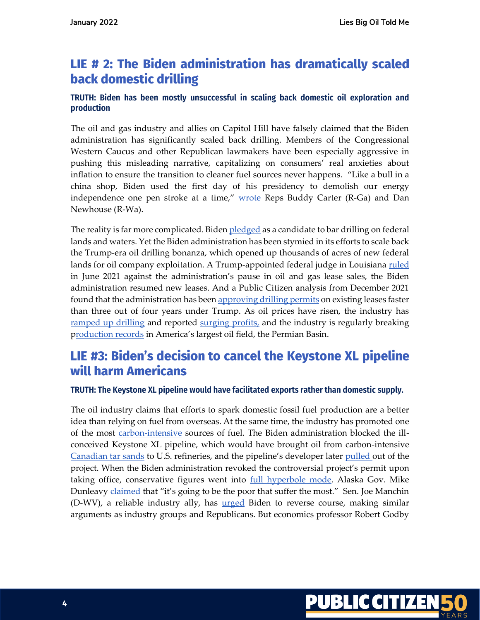# LIE # 2: The Biden administration has dramatically scaled **back domestic drilling**

## **TRUTH: Biden has been mostly unsuccessful in scaling back domestic oil exploration and production**

The oil and gas industry and allies on Capitol Hill have falsely claimed that the Biden administration has significantly scaled back drilling. Members of the Congressional Western Caucus and other Republican lawmakers have been especially aggressive in pushing this misleading narrative, capitalizing on consumers' real anxieties about inflation to ensure the transition to cleaner fuel sources never happens. "Like a bull in a china shop, Biden used the first day of his presidency to demolish our energy independence one pen stroke at a time," [wrote](https://www.washingtonexaminer.com/restoring-america/faith-freedom-self-reliance/bring-back-energy-independence) Reps Buddy Carter (R-Ga) and Dan Newhouse (R-Wa).

The reality is far more complicated. Bide[n pledged](https://transcripts.cnn.com/show/se/date/2020-03-15/segment/03) as a candidate to bar drilling on federal lands and waters. Yet the Biden administration has been stymied in its efforts to scale back the Trump-era oil drilling bonanza, which opened up thousands of acres of new federal lands for oil company exploitation. A Trump-appointed federal judge in Louisiana [ruled](https://www.nytimes.com/2021/06/15/climate/biden-drilling-federal-land.html) in June 2021 against the administration's pause in oil and gas lease sales, the Biden administration resumed new leases. And a Public Citizen analysis from December 2021 found that the administration has bee[n approving drilling permits](https://www.citizen.org/article/bidens-oil-letdown/) on existing leases faster than three out of four years under Trump. As oil prices have risen, the industry has [ramped up drilling](https://www.reuters.com/business/energy/us-drillers-add-oil-gas-rigs-fourth-week-five-baker-hughes-2022-01-07/) and reported surging profits, and the industry is regularly breaking [production records](https://www.yahoo.com/lifestyle/permian-break-daily-oil-production-114811833.html#:~:text=According%20to%20the%20U.S.%20Energy,barrels%20per%20day%20in%20January.&text=As%20proof%20of%20improvement%20in,of%20116%20in%20August%202020.) in America's largest oil field, the Permian Basin.

# LIE #3: Biden's decision to cancel the Keystone XL pipeline will harm Americans

#### **TRUTH: The Keystone XL pipeline would have facilitated exports rather than domestic supply.**

The oil industry claims that efforts to spark domestic fossil fuel production are a better idea than relying on fuel from overseas. At the same time, the industry has promoted one of the most [carbon-intensive](https://www.reuters.com/business/energy/old-small-co2-intense-why-canadas-highest-carbon-oil-sites-keep-pumping-2021-06-28/) sources of fuel. The Biden administration blocked the illconceived Keystone XL pipeline, which would have brought oil from carbon-intensive [Canadian tar sands](https://insideclimatenews.org/news/21112021/tar-sands-canada-oil/) to U.S. refineries, and the pipeline's developer later [pulled o](https://www.cnbc.com/2021/06/09/tc-energy-terminates-keystone-xl-pipeline-project.html)ut of the project. When the Biden administration revoked the controversial project's permit upon taking office, conservative figures went into [full hyperbole mode.](https://heated.world/p/the-conservative-climate-fear-mongering) Alaska Gov. Mike Dunleav[y claimed](https://video.foxbusiness.com/v/6223877834001#sp=show-clips) that "it's going to be the poor that suffer the most." Sen. Joe Manchin (D-WV), a reliable industry ally, has **[urged](https://thehill.com/homenews/senate/582936-manchin-calls-on-biden-to-restore-keystone-xl-pipeline)** Biden to reverse course, making similar arguments as industry groups and Republicans. But economics professor Robert Godby

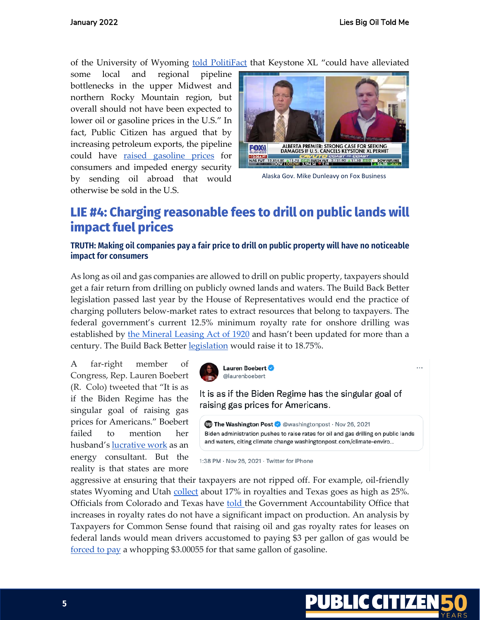of the University of Wyoming [told PolitiFact](https://www.politifact.com/factchecks/2021/feb/15/facebook-posts/keystone-xl-suspension-probably-wont-boost-oil-pri/https:/www.politifact.com/factchecks/2021/feb/15/facebook-posts/keystone-xl-suspension-probably-wont-boost-oil-pri/) that Keystone XL "could have alleviated

some local and regional pipeline bottlenecks in the upper Midwest and northern Rocky Mountain region, but overall should not have been expected to lower oil or gasoline prices in the U.S." In fact, Public Citizen has argued that by increasing petroleum exports, the pipeline could have [raised gasoline prices](https://www.citizen.org/wp-content/uploads/keystone_report_4.15.2013_1.pdf) for consumers and impeded energy security by sending oil abroad that would otherwise be sold in the U.S.



Alaska Gov. Mike Dunleavy on Fox Business

# LIE #4: Charging reasonable fees to drill on public lands will **impact fuel prices**

## **TRUTH: Making oil companies pay a fair price to drill on public property will have no noticeable impact for consumers**

As long as oil and gas companies are allowed to drill on public property, taxpayers should get a fair return from drilling on publicly owned lands and waters. The Build Back Better legislation passed last year by the House of Representatives would end the practice of charging polluters below-market rates to extract resources that belong to taxpayers. The federal government's current 12.5% minimum royalty rate for onshore drilling was established by [the Mineral Leasing Act of 1920](https://nam04.safelinks.protection.outlook.com/?url=https%3A%2F%2Fwww.americanprogress.org%2Fissues%2Fgreen%2Freports%2F2015%2F06%2F19%2F115580%2Ffederal-oil-and-gas-royalty-and-revenue-reform%2F&data=04%7C01%7Cvalerie.nelson%40latimes.com%7C9f3a1cdee05e43f2111608d97c8bddc6%7Ca42080b34dd948b4bf44d70d3bbaf5d2%7C0%7C0%7C637677762425657467%7CUnknown%7CTWFpbGZsb3d8eyJWIjoiMC4wLjAwMDAiLCJQIjoiV2luMzIiLCJBTiI6Ik1haWwiLCJXVCI6Mn0%3D%7C1000&sdata=bSee5PTPhMXVxIrXWN4iXDBvK29sejcExDfMWULOx6s%3D&reserved=0) and hasn't been updated for more than a century. The Build Back Bette[r legislation](https://www.eenews.net/articles/with-bill-sidelined-whats-next-for-oil-and-gas-overhaul/) would raise it to 18.75%.

A far-right member of Congress, Rep. Lauren Boebert (R. Colo) tweeted that "It is as if the Biden Regime has the singular goal of raising gas prices for Americans." Boebert failed to mention her husband'[s lucrative work](https://apnews.com/article/joe-biden-business-colorado-7b568c2899e064d29691f4bf1447d040) as an energy consultant. But the reality is that states are more



It is as if the Biden Regime has the singular goal of raising gas prices for Americans.

**(b)** The Washington Post C @washingtonpost · Nov 26, 2021 Biden administration pushes to raise rates for oil and gas drilling on public lands and waters, citing climate change washingtonpost.com/climate-enviro...

1:38 PM · Nov 26, 2021 · Twitter for iPhone

aggressive at ensuring that their taxpayers are not ripped off. For example, oil-friendly states Wyoming and Utah [collect](https://nam04.safelinks.protection.outlook.com/?url=https%3A%2F%2Fwww.taxpayer.net%2Fwp-content%2Fuploads%2F2020%2F02%2FTCS-Royally-Losing-2020.pdf&data=04%7C01%7Cvalerie.nelson%40latimes.com%7C9f3a1cdee05e43f2111608d97c8bddc6%7Ca42080b34dd948b4bf44d70d3bbaf5d2%7C0%7C0%7C637677762425657467%7CUnknown%7CTWFpbGZsb3d8eyJWIjoiMC4wLjAwMDAiLCJQIjoiV2luMzIiLCJBTiI6Ik1haWwiLCJXVCI6Mn0%3D%7C1000&sdata=5P%2BOndcOmJ5MAFiOOIVJr%2F0nckkACDLz8%2F2bqXkqt7w%3D&reserved=0) about 17% in royalties and Texas goes as high as 25%. Officials from Colorado and Texas have [told](https://www.gao.gov/assets/gao-17-540.pdf) the Government Accountability Office that increases in royalty rates do not have a significant impact on production. An analysis by Taxpayers for Common Sense found that raising oil and gas royalty rates for leases on federal lands would mean drivers accustomed to paying \$3 per gallon of gas would be [forced to pay](https://www.taxpayer.net/wp-content/uploads/2021/10/OG-Reform-and-Gas-Prices-Primer.pdf) a whopping \$3.00055 for that same gallon of gasoline.



 $\cdots$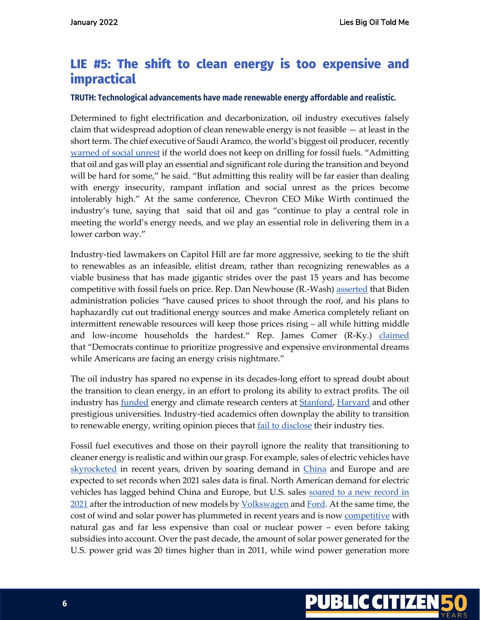# LIE #5: The shift to clean energy is too expensive and **impractical**

#### **TRUTH: Technological advancements have made renewable energy affordable and realistic.**

Determined to fight electrification and decarbonization, oil industry executives falsely claim that widespread adoption of clean renewable energy is not feasible  $-$  at least in the short term. The chief executive of Saudi Aramco, the world's biggest oil producer, recently [warned of social unrest](https://www.cnbc.com/2021/12/06/saudi-aramco-ceo-warns-of-unrest-if-fossil-fuel-investment-cut-too-fast.html) if the world does not keep on drilling for fossil fuels. "Admitting that oil and gas will play an essential and significant role during the transition and beyond will be hard for some," he said. "But admitting this reality will be far easier than dealing with energy insecurity, rampant inflation and social unrest as the prices become intolerably high." At the same conference, Chevron CEO Mike Wirth continued the industry's tune, saying that said that oil and gas "continue to play a central role in meeting the world's energy needs, and we play an essential role in delivering them in a lower carbon way."

Industry-tied lawmakers on Capitol Hill are far more aggressive, seeking to tie the shift to renewables as an infeasible, elitist dream, rather than recognizing renewables as a viable business that has made gigantic strides over the past 15 years and has become competitive with fossil fuels on price. Rep. Dan Newhouse (R.-Wash) [asserted](https://republicans-oversight.house.gov/release/western-caucus-oversight-republicans-to-host-joint-forum-on-rising-energy-prices/#:~:text=The%20Biden%20Administration) that Biden administration policies "have caused prices to shoot through the roof, and his plans to haphazardly cut out traditional energy sources and make America completely reliant on intermittent renewable resources will keep those prices rising – all while hitting middle and low-income households the hardest." Rep. James Comer (R-Ky.) [claimed](https://republicans-oversight.house.gov/release/western-caucus-oversight-republicans-to-host-joint-forum-on-rising-energy-prices/#:~:text=The%20Biden%20Administration) that "Democrats continue to prioritize progressive and expensive environmental dreams while Americans are facing an energy crisis nightmare."

The oil industry has spared no expense in its decades-long effort to spread doubt about the transition to clean energy, in an effort to prolong its ability to extract profits. The oil industry has **funded** energy and climate research centers at **Stanford**, **Harvard** and other prestigious universities. Industry-tied academics often downplay the ability to transition to renewable energy, writing opinion pieces that **fail to disclose** their industry ties.

Fossil fuel executives and those on their payroll ignore the reality that transitioning to cleaner energy is realistic and within our grasp. For example, sales of electric vehicles have [skyrocketed](https://www.bloomberg.com/press-releases/2021-12-15/global-ev-sales-on-track-to-hit-record-6-3-million-in-2021-bnef#:~:text=Europe%20hits%20record%20level%20of,adoption%20so%20far%20on%20record.) in recent years, driven by soaring demand in [China](https://www.wsj.com/articles/electric-vehicles-drive-growth-for-china-car-sales-11641899387) and Europe and are expected to set records when 2021 sales data is final. North American demand for electric vehicles has lagged behind China and Europe, but U.S. sales soared to a new record in [2021](https://www.thedetroitbureau.com/2022/01/ev-sales-jumped-83-in-u-s-in-2021-tesla-still-on-top/) after the introduction of new models by [Volkswagen](https://www.greencarreports.com/news/1134724_vw-doubled-global-ev-deliveries-in-2021-but-remains-well-behind-tesla) and [Ford.](https://insideevs.com/news/558927/us-ford-mache-sales-2021/) At the same time, the cost of wind and solar power has plummeted in recent years and is now **competitive** with natural gas and far less expensive than coal or nuclear power – even before taking subsidies into account. Over the past decade, the amount of solar power generated for the U.S. power grid was 20 times higher than in 2011, while wind power generation more

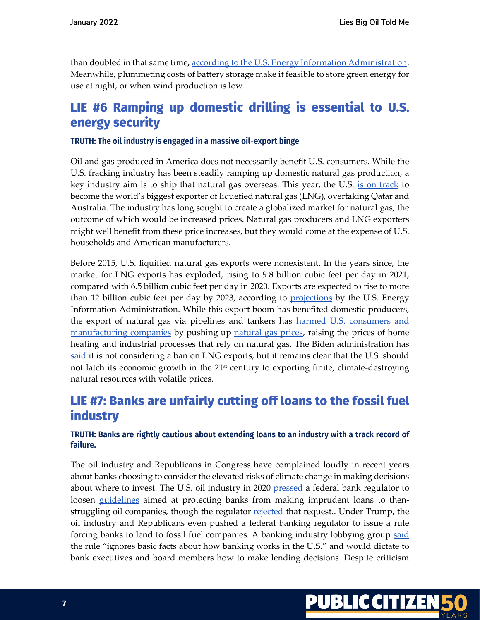than doubled in that same time[, according to the U.S. Energy Information Administration.](https://www.eia.gov/todayinenergy/detail.php?id=50918) Meanwhile, plummeting costs of battery storage make it feasible to store green energy for use at night, or when wind production is low.

## LIE #6 Ramping up domestic drilling is essential to U.S. energy security

#### **TRUTH: The oil industry is engaged in a massive oil-export binge**

Oil and gas produced in America does not necessarily benefit U.S. consumers. While the U.S. fracking industry has been steadily ramping up domestic natural gas production, a key industry aim is to ship that natural gas overseas. This year, the U.S. [is on track](https://www.reuters.com/business/energy/us-be-worlds-biggest-lng-exporter-2022-2021-12-21/) to become the world's biggest exporter of liquefied natural gas (LNG), overtaking Qatar and Australia. The industry has long sought to create a globalized market for natural gas, the outcome of which would be increased prices. Natural gas producers and LNG exporters might well benefit from these price increases, but they would come at the expense of U.S. households and American manufacturers.

Before 2015, U.S. liquified natural gas exports were nonexistent. In the years since, the market for LNG exports has exploded, rising to 9.8 billion cubic feet per day in 2021, compared with 6.5 billion cubic feet per day in 2020. Exports are expected to rise to more than 12 billion cubic feet per day by 2023, according to [projections](https://www.eia.gov/outlooks/steo/pdf/steo_full.pdf) by the U.S. Energy Information Administration. While this export boom has benefited domestic producers, the export of natural gas via pipelines and tankers has [harmed U.S. consumers and](https://www.wsj.com/articles/natural-gas-exports-lift-prices-for-u-s-utilities-ahead-of-winter-11636281000)  [manufacturing companies](https://www.wsj.com/articles/natural-gas-exports-lift-prices-for-u-s-utilities-ahead-of-winter-11636281000) by pushing up [natural gas prices,](https://www.cnbc.com/2022/01/12/natural-gas-surges-13percent-as-cold-snap-ahead-is-expected-to-boost-demand.html) raising the prices of home heating and industrial processes that rely on natural gas. The Biden administration has [said](https://thehill.com/policy/energy-environment/590472-us-not-considering-gas-export-ban-official-says?rl=1) it is not considering a ban on LNG exports, but it remains clear that the U.S. should not latch its economic growth in the  $21<sup>st</sup>$  century to exporting finite, climate-destroying natural resources with volatile prices.

# LIE #7: Banks are unfairly cutting off loans to the fossil fuel industry

## **TRUTH: Banks are rightly cautious about extending loans to an industry with a track record of failure.**

The oil industry and Republicans in Congress have complained loudly in recent years about banks choosing to consider the elevated risks of climate change in making decisions about where to invest. The U.S. oil industry in 2020 [pressed](https://www.washingtonpost.com/news/powerpost/paloma/the-energy-202/2020/06/26/the-energy-202-oil-industry-lobbies-to-relax-bank-lending-guidelines-due-to-pandemic/5ef4f781602ff1080718f34e/) a federal bank regulator to loosen [guidelines](https://www.occ.gov/publications-and-resources/publications/comptrollers-handbook/files/oil-gas-exploration-prod-lending/index-oil-gas-exploration-production-lending.html) aimed at protecting banks from making imprudent loans to thenstruggling oil companies, though the regulator [rejected](https://publiccitizen-my.sharepoint.com/:w:/g/personal/azibel_citizen_org/EV4U0yFkXp5AtpC4C71Ss74B9nIt6bICHqDwbg8e-_teiQ) that request.. Under Trump, the oil industry and Republicans even pushed a federal banking regulator to issue a rule forcing banks to lend to fossil fuel companies. A banking industry lobbying group [said](https://bpi.com/occ-fair-access-proposal-issue-summary/) the rule "ignores basic facts about how banking works in the U.S." and would dictate to bank executives and board members how to make lending decisions. Despite criticism

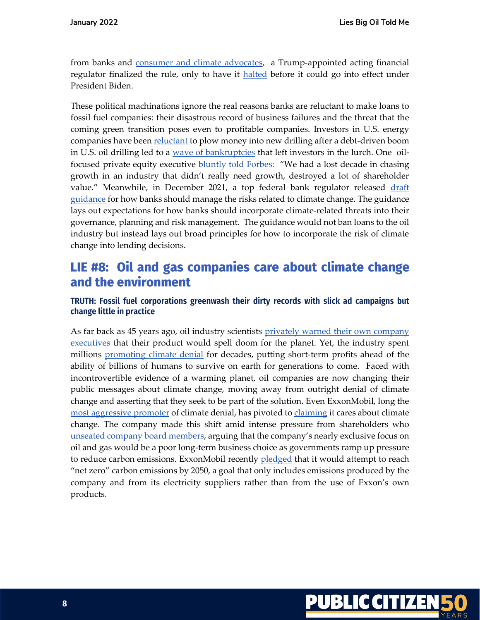from banks and [consumer and climate advocates,](https://www.citizen.org/news/27-groups-oppose-occ-rule-forcing-banks-to-lend-to-climate-polluters/) a Trump-appointed acting financial regulator finalized the rule, only to have it [halted](https://www.bankingdive.com/news/office-comptroller-currency-fair-access-rule-2021/594145/) before it could go into effect under President Biden.

These political machinations ignore the real reasons banks are reluctant to make loans to fossil fuel companies: their disastrous record of business failures and the threat that the coming green transition poses even to profitable companies. Investors in U.S. energy companies have been [reluctant t](https://www.npr.org/2021/03/06/973649045/hold-that-drill-why-wall-street-wants-energy-companies-to-pump-less-oil-not-more)o plow money into new drilling after a debt-driven boom in U.S. oil drilling led to a [wave of bankruptcies](https://www.citizen.org/article/fueling-failure/) that left investors in the lurch. One oilfocused private equity executive **bluntly told Forbes:** "We had a lost decade in chasing growth in an industry that didn't really need growth, destroyed a lot of shareholder value." Meanwhile, in December 2021, a top federal bank regulator released draft [guidance](https://www.occ.treas.gov/news-issuances/news-releases/2021/nr-occ-2021-138a.pdf) for how banks should manage the risks related to climate change. The guidance lays out expectations for how banks should incorporate climate-related threats into their governance, planning and risk management. The guidance would not ban loans to the oil industry but instead lays out broad principles for how to incorporate the risk of climate change into lending decisions.

## LIE #8: Oil and gas companies care about climate change and the environment

## **TRUTH: Fossil fuel corporations greenwash their dirty records with slick ad campaigns but change little in practice**

As far back as 45 years ago, oil industry scientists privately warned their own company [executives t](https://insideclimatenews.org/news/16092015/exxons-own-research-confirmed-fossil-fuels-role-in-global-warming/)hat their product would spell doom for the planet. Yet, the industry spent millions [promoting climate denial](https://www.tandfonline.com/doi/full/10.1080/09644016.2020.1863703) for decades, putting short-term profits ahead of the ability of billions of humans to survive on earth for generations to come. Faced with incontrovertible evidence of a warming planet, oil companies are now changing their public messages about climate change, moving away from outright denial of climate change and asserting that they seek to be part of the solution. Even ExxonMobil, long the [most aggressive promoter](https://insideclimatenews.org/news/22102015/Exxon-Sowed-Doubt-about-Climate-Science-for-Decades-by-Stressing-Uncertainty/) of climate denial, has pivoted t[o claiming](https://gizmodo.com/exxon-pretends-to-give-a-shit-1848375880) it cares about climate change. The company made this shift amid intense pressure from shareholders who [unseated company board members](https://www.nytimes.com/2021/05/26/business/exxon-mobil-climate-change.html), arguing that the company's nearly exclusive focus on oil and gas would be a poor long-term business choice as governments ramp up pressure to reduce carbon emissions. ExxonMobil recently [pledged](https://www.nytimes.com/2022/01/18/business/exxon-net-zero-emissions.html) that it would attempt to reach "net zero" carbon emissions by 2050, a goal that only includes emissions produced by the company and from its electricity suppliers rather than from the use of Exxon's own products.

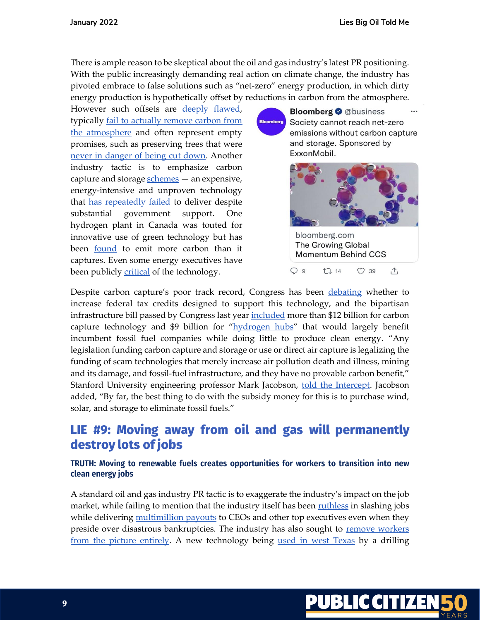There is ample reason to be skeptical about the oil and gas industry's latest PR positioning. With the public increasingly demanding real action on climate change, the industry has pivoted embrace to false solutions such as "net-zero" energy production, in which dirty energy production is hypothetically offset by reductions in carbon from the atmosphere.

However such offsets are [deeply flawed,](https://www.theguardian.com/environment/2021/may/04/carbon-offsets-used-by-major-airlines-based-on-flawed-system-warn-experts) typically [fail to actually remove carbon from](https://www.cnbc.com/2021/09/12/the-hollow-promise-of-net-zero-carbon-pledges.html)  [the atmosphere](https://www.cnbc.com/2021/09/12/the-hollow-promise-of-net-zero-carbon-pledges.html) and often represent empty promises, such as preserving trees that were [never in danger of being cut down.](https://www.propublica.org/article/a-nonprofit-promised-to-preserve-wildlife-then-it-made-millions-claiming-it-could-cut-down-trees) Another industry tactic is to emphasize carbon capture and storag[e schemes](https://www.citizen.org/news/carbon-capture-is-a-fools-choice-houston-chronicle-op-ed/) — an expensive, energy-intensive and unproven technology that [has repeatedly failed t](https://ieefa.org/wp-content/uploads/2020/08/Petra-Nova-Mothballing-Post-Mortem_August-2020.pdf)o deliver despite substantial government support. One hydrogen plant in Canada was touted for innovative use of green technology but has been [found](https://www.globalwitness.org/en/campaigns/fossil-gas/shell-hydrogen-true-emissions/) to emit more carbon than it captures. Even some energy executives have been publicly **critical** of the technology.

**Bloomberg @** @business **Bloomberg** Society cannot reach net-zero emissions without carbon capture and storage. Sponsored by ExxonMobil.



 $O39$ 

 $\uparrow$ 

**17 14** 

Despite carbon capture's poor track record, Congress has been [debating](https://www.eenews.net/articles/big-payout-more-co2-greens-split-over-dems-ccs-plan/) whether to increase federal tax credits designed to support this technology, and the bipartisan infrastructure bill passed by Congress last yea[r included](https://www.manchin.senate.gov/newsroom/press-releases/senate-passes-manchins-bipartisan-infrastructure-bill) more than \$12 billion for carbon capture technology and \$9 billion for "[hydrogen hubs](https://www.eenews.net/articles/is-hydrogen-clean-energy-infrastructure-law-spurs-fight/)" that would largely benefit incumbent fossil fuel companies while doing little to produce clean energy. "Any legislation funding carbon capture and storage or use or direct air capture is legalizing the funding of scam technologies that merely increase air pollution death and illness, mining and its damage, and fossil-fuel infrastructure, and they have no provable carbon benefit," Stanford University engineering professor Mark Jacobson, [told the Intercept.](https://theintercept.com/2021/08/03/bipartisan-infrastructure-bill-climate-subsidies-fossil-fuel/) Jacobson added, "By far, the best thing to do with the subsidy money for this is to purchase wind, solar, and storage to eliminate fossil fuels."

# LIE #9: Moving away from oil and gas will permanently destroy lots of jobs

## **TRUTH: Moving to renewable fuels creates opportunities for workers to transition into new clean energy jobs**

A standard oil and gas industry PR tactic is to exaggerate the industry's impact on the job market, while failing to mention that the industry itself has been [ruthless](https://www.cnn.com/2020/10/08/business/oil-gas-jobs/index.html#:~:text=A%20staggering%20107%2C000%20jobs%20vanished,furlough%20or%20taking%20pay%20cuts) in slashing jobs while delivering [multimillion payouts](https://www.citizen.org/article/fueling-failure/) to CEOs and other top executives even when they preside over disastrous bankruptcies. The industry has also sought to remove workers [from the picture entirely.](https://www.yahoo.com/lifestyle/robots-taking-over-oil-rigs-190000084.html) A new technology being [used in west Texas](https://www.cbs7.com/video/2021/08/27/nabors-launches-robotic-drilling-rig-permian-basin/) by a drilling

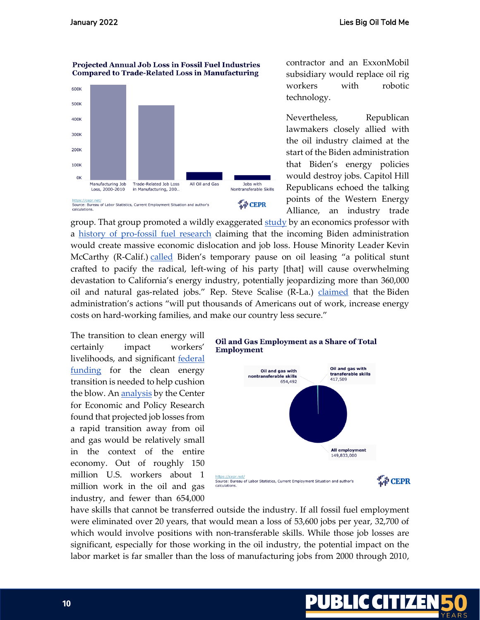#### **Projected Annual Job Loss in Fossil Fuel Industries Compared to Trade-Related Loss in Manufacturing**



contractor and an ExxonMobil subsidiary would replace oil rig workers with robotic technology.

Nevertheless, Republican lawmakers closely allied with the oil industry claimed at the start of the Biden administration that Biden's energy policies would destroy jobs. Capitol Hill Republicans echoed the talking points of the Western Energy Alliance, an industry trade

group. That group promoted a wildly exaggerated [study](https://www.wyoenergy.org/wp-content/uploads/2020/12/Final-Report-Federal-Leasing-Drilling-Ban-Policies-121420.pdf) by an economics professor with a [history of pro-fossil fuel research](https://trib.com/news/state-and-regional/university-of-wyoming-professor-draws-scrutiny-for-energy-industry-funded-analyses/article_ec03f5e9-feed-5869-9832-ad02723b0d30.html) claiming that the incoming Biden administration would create massive economic dislocation and job loss. House Minority Leader Kevin McCarthy (R-Calif.) [called](https://www.citizen.org/article/big-oils-capitol-hill-allies/) Biden's temporary pause on oil leasing "a political stunt crafted to pacify the radical, left-wing of his party [that] will cause overwhelming devastation to California's energy industry, potentially jeopardizing more than 360,000 oil and natural gas-related jobs." Rep. Steve Scalise (R-La.) [claimed](https://jeffduncan.house.gov/media/press-releases/heat-members-denounce-president-bidens-continued-assault-american-energy) that the Biden administration's actions "will put thousands of Americans out of work, increase energy costs on hard-working families, and make our country less secure."

The transition to clean energy will certainly impact workers' livelihoods, and significant federal [funding](https://rmi.org/dont-take-existing-energy-transition-funding-for-granted/) for the clean energy transition is needed to help cushion the blow. A[n analysis](https://cepr.net/report/the-employment-impact-of-curtailing-fossil-fuel-use/) by the Center for Economic and Policy Research found that projected job losses from a rapid transition away from oil and gas would be relatively small in the context of the entire economy. Out of roughly 150 million U.S. workers about 1 million work in the oil and gas industry, and fewer than 654,000

#### Oil and Gas Employment as a Share of Total **Employment**



have skills that cannot be transferred outside the industry. If all fossil fuel employment were eliminated over 20 years, that would mean a loss of 53,600 jobs per year, 32,700 of which would involve positions with non-transferable skills. While those job losses are significant, especially for those working in the oil industry, the potential impact on the labor market is far smaller than the loss of manufacturing jobs from 2000 through 2010,